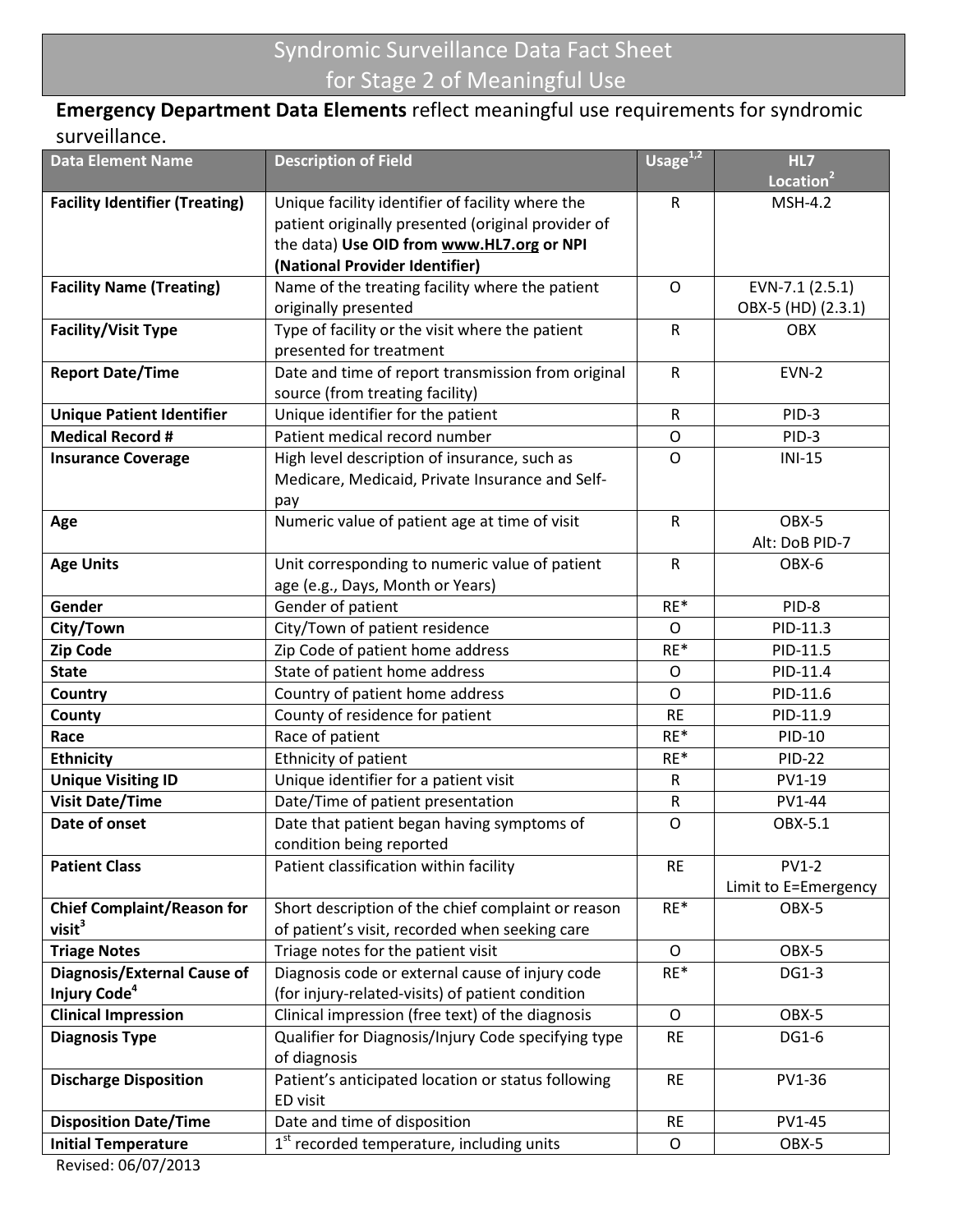# Syndromic Surveillance Data Fact Sheet for Stage 2 of Meaningful Use

## Emergency Department Data Elements reflect meaningful use requirements for syndromic surveillance.

| <b>Data Element Name</b>                          | <b>Description of Field</b>                         | Usage $1,2$  | HL7<br>Location <sup>2</sup> |
|---------------------------------------------------|-----------------------------------------------------|--------------|------------------------------|
| <b>Facility Identifier (Treating)</b>             | Unique facility identifier of facility where the    | ${\sf R}$    | <b>MSH-4.2</b>               |
|                                                   | patient originally presented (original provider of  |              |                              |
|                                                   | the data) Use OID from www.HL7.org or NPI           |              |                              |
|                                                   | (National Provider Identifier)                      |              |                              |
| <b>Facility Name (Treating)</b>                   | Name of the treating facility where the patient     | O            | EVN-7.1 (2.5.1)              |
|                                                   | originally presented                                |              | OBX-5 (HD) (2.3.1)           |
| <b>Facility/Visit Type</b>                        | Type of facility or the visit where the patient     | ${\sf R}$    | OBX                          |
|                                                   | presented for treatment                             |              |                              |
| <b>Report Date/Time</b>                           | Date and time of report transmission from original  | $\mathsf{R}$ | <b>EVN-2</b>                 |
|                                                   | source (from treating facility)                     |              |                              |
| <b>Unique Patient Identifier</b>                  | Unique identifier for the patient                   | $\mathsf{R}$ | PID-3                        |
| <b>Medical Record #</b>                           | Patient medical record number                       | O            | PID-3                        |
| <b>Insurance Coverage</b>                         | High level description of insurance, such as        | O            | $INI-15$                     |
|                                                   | Medicare, Medicaid, Private Insurance and Self-     |              |                              |
|                                                   | pay                                                 |              |                              |
| Age                                               | Numeric value of patient age at time of visit       | $\mathsf{R}$ | OBX-5                        |
|                                                   |                                                     |              | Alt: DoB PID-7               |
| <b>Age Units</b>                                  | Unit corresponding to numeric value of patient      | $\mathsf{R}$ | OBX-6                        |
|                                                   | age (e.g., Days, Month or Years)                    |              |                              |
| Gender                                            | Gender of patient                                   | RE*          | PID-8                        |
| City/Town                                         | City/Town of patient residence                      | O            | PID-11.3                     |
| <b>Zip Code</b>                                   | Zip Code of patient home address                    | RE*          | PID-11.5                     |
| <b>State</b>                                      | State of patient home address                       | O            | PID-11.4                     |
| <b>Country</b>                                    | Country of patient home address                     | O            | PID-11.6                     |
| County                                            | County of residence for patient                     | <b>RE</b>    | PID-11.9                     |
| Race                                              | Race of patient                                     | RE*          | PID-10                       |
| <b>Ethnicity</b>                                  | Ethnicity of patient                                | RE*          | <b>PID-22</b>                |
| <b>Unique Visiting ID</b>                         | Unique identifier for a patient visit               | R            | PV1-19                       |
| <b>Visit Date/Time</b>                            | Date/Time of patient presentation                   | ${\sf R}$    | PV1-44                       |
| Date of onset                                     | Date that patient began having symptoms of          | O            | OBX-5.1                      |
|                                                   | condition being reported                            |              |                              |
| <b>Patient Class</b>                              | Patient classification within facility              | <b>RE</b>    | <b>PV1-2</b>                 |
|                                                   |                                                     |              | Limit to E=Emergency         |
| <b>Chief Complaint/Reason for</b>                 | Short description of the chief complaint or reason  | $RE*$        | OBX-5                        |
| visit <sup>3</sup>                                | of patient's visit, recorded when seeking care      |              |                              |
| <b>Triage Notes</b>                               | Triage notes for the patient visit                  | $\circ$      | OBX-5                        |
| <b>Diagnosis/External Cause of</b>                | Diagnosis code or external cause of injury code     | $RE*$        | DG1-3                        |
| Injury Code <sup>4</sup>                          | (for injury-related-visits) of patient condition    |              |                              |
| <b>Clinical Impression</b>                        | Clinical impression (free text) of the diagnosis    | $\mathsf{O}$ | OBX-5                        |
| <b>Diagnosis Type</b>                             | Qualifier for Diagnosis/Injury Code specifying type | <b>RE</b>    | DG1-6                        |
|                                                   | of diagnosis                                        |              |                              |
| <b>Discharge Disposition</b>                      | Patient's anticipated location or status following  | <b>RE</b>    | PV1-36                       |
|                                                   | ED visit                                            |              |                              |
| <b>Disposition Date/Time</b>                      | Date and time of disposition                        | <b>RE</b>    | PV1-45                       |
| <b>Initial Temperature</b><br>Revised: 06/07/2013 | $1st$ recorded temperature, including units         | O            | OBX-5                        |